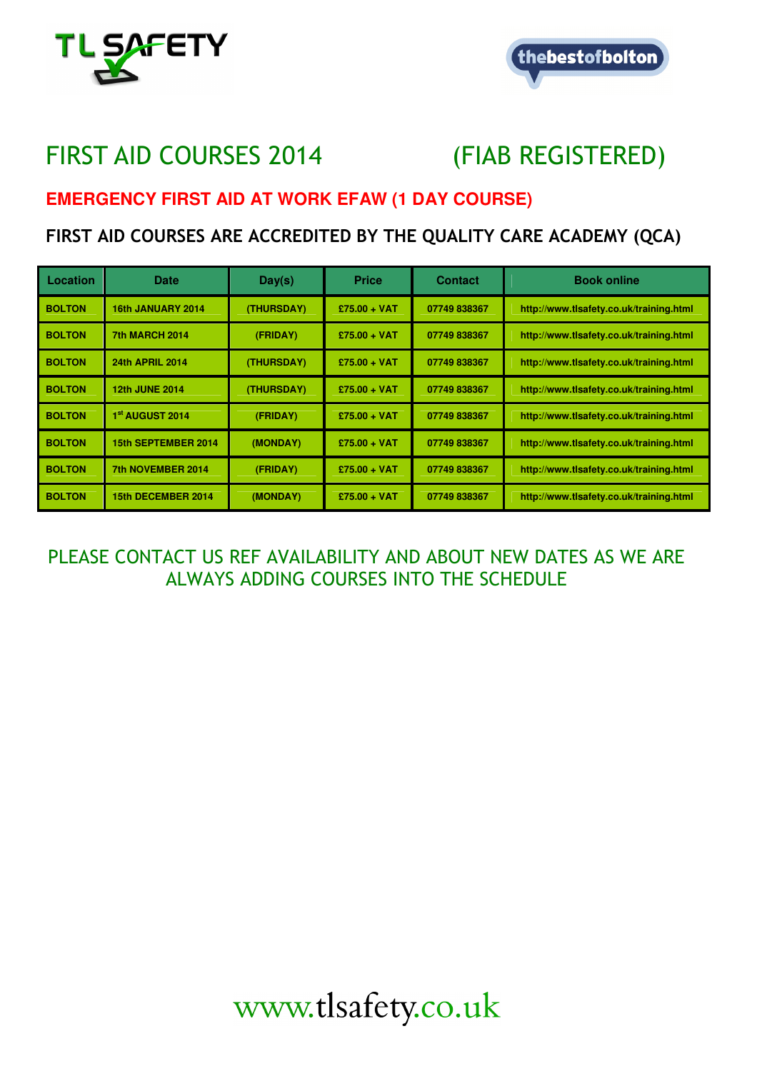



## FIRST AID COURSES 2014 (FIAB REGISTERED)

## **EMERGENCY FIRST AID AT WORK EFAW (1 DAY COURSE)**

## FIRST AID COURSES ARE ACCREDITED BY THE QUALITY CARE ACADEMY (QCA)

| Location      | Date                   | Day(s)     | <b>Price</b>   | <b>Contact</b> | <b>Book online</b>                      |
|---------------|------------------------|------------|----------------|----------------|-----------------------------------------|
| <b>BOLTON</b> | 16th JANUARY 2014      | (THURSDAY) | $£75.00 + VAT$ | 07749838367    | http://www.tlsafety.co.uk/training.html |
| <b>BOLTON</b> | <b>7th MARCH 2014</b>  | (FRIDAY)   | $£75.00 + VAT$ | 07749 838367   | http://www.tlsafety.co.uk/training.html |
| <b>BOLTON</b> | <b>24th APRIL 2014</b> | (THURSDAY) | $£75.00 + VAT$ | 07749838367    | http://www.tlsafety.co.uk/training.html |
| <b>BOLTON</b> | <b>12th JUNE 2014</b>  | (THURSDAY) | $£75.00 + VAT$ | 07749838367    | http://www.tlsafety.co.uk/training.html |
| <b>BOLTON</b> | 1st AUGUST 2014        | (FRIDAY)   | $£75.00 + VAT$ | 07749838367    | http://www.tlsafety.co.uk/training.html |
| <b>BOLTON</b> | 15th SEPTEMBER 2014    | (MONDAY)   | $£75.00 + VAT$ | 07749838367    | http://www.tlsafety.co.uk/training.html |
| <b>BOLTON</b> | 7th NOVEMBER 2014      | (FRIDAY)   | $£75.00 + VAT$ | 07749 838367   | http://www.tlsafety.co.uk/training.html |
| <b>BOLTON</b> | 15th DECEMBER 2014     | (MONDAY)   | $£75.00 + VAT$ | 07749838367    | http://www.tlsafety.co.uk/training.html |

PLEASE CONTACT US REF AVAILABILITY AND ABOUT NEW DATES AS WE ARE ALWAYS ADDING COURSES INTO THE SCHEDULE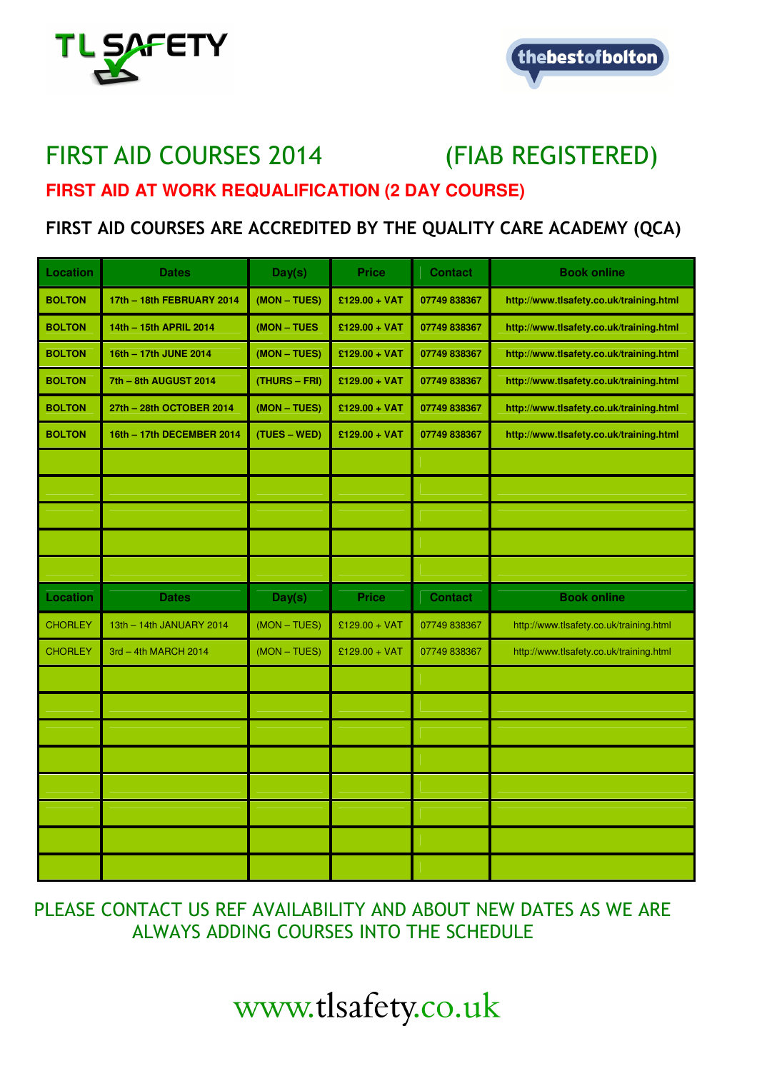



## FIRST AID COURSES 2014 (FIAB REGISTERED) **FIRST AID AT WORK REQUALIFICATION (2 DAY COURSE)**

## FIRST AID COURSES ARE ACCREDITED BY THE QUALITY CARE ACADEMY (QCA)

| Location        | <b>Dates</b>              | Day(s)        | <b>Price</b>    | <b>Contact</b> | <b>Book online</b>                      |
|-----------------|---------------------------|---------------|-----------------|----------------|-----------------------------------------|
| <b>BOLTON</b>   | 17th - 18th FEBRUARY 2014 | (MON - TUES)  | $£129.00 + VAT$ | 07749 838367   | http://www.tlsafety.co.uk/training.html |
| <b>BOLTON</b>   | 14th - 15th APRIL 2014    | (MON - TUES   | $£129.00 + VAT$ | 07749 838367   | http://www.tlsafety.co.uk/training.html |
| <b>BOLTON</b>   | 16th - 17th JUNE 2014     | (MON - TUES)  | $£129.00 + VAT$ | 07749 838367   | http://www.tlsafety.co.uk/training.html |
| <b>BOLTON</b>   | 7th - 8th AUGUST 2014     | (THURS - FRI) | £129.00 + VAT   | 07749 838367   | http://www.tlsafety.co.uk/training.html |
| <b>BOLTON</b>   | 27th - 28th OCTOBER 2014  | (MON - TUES)  | $£129.00 + VAT$ | 07749 838367   | http://www.tlsafety.co.uk/training.html |
| <b>BOLTON</b>   | 16th - 17th DECEMBER 2014 | (TUES – WED)  | $£129.00 + VAT$ | 07749 838367   | http://www.tlsafety.co.uk/training.html |
|                 |                           |               |                 |                |                                         |
|                 |                           |               |                 |                |                                         |
|                 |                           |               |                 |                |                                         |
|                 |                           |               |                 |                |                                         |
|                 |                           |               |                 |                |                                         |
| <b>Location</b> | <b>Dates</b>              | Day(s)        | <b>Price</b>    | <b>Contact</b> | <b>Book online</b>                      |
| <b>CHORLEY</b>  | 13th - 14th JANUARY 2014  | $(MON-TUES)$  | £129.00 + VAT   | 07749 838367   | http://www.tlsafety.co.uk/training.html |
| <b>CHORLEY</b>  | 3rd - 4th MARCH 2014      | $(MON-TUES)$  | £129.00 + VAT   | 07749 838367   | http://www.tlsafety.co.uk/training.html |
|                 |                           |               |                 |                |                                         |
|                 |                           |               |                 |                |                                         |
|                 |                           |               |                 |                |                                         |
|                 |                           |               |                 |                |                                         |
|                 |                           |               |                 |                |                                         |
|                 |                           |               |                 |                |                                         |
|                 |                           |               |                 |                |                                         |
|                 |                           |               |                 |                |                                         |

 PLEASE CONTACT US REF AVAILABILITY AND ABOUT NEW DATES AS WE ARE ALWAYS ADDING COURSES INTO THE SCHEDULE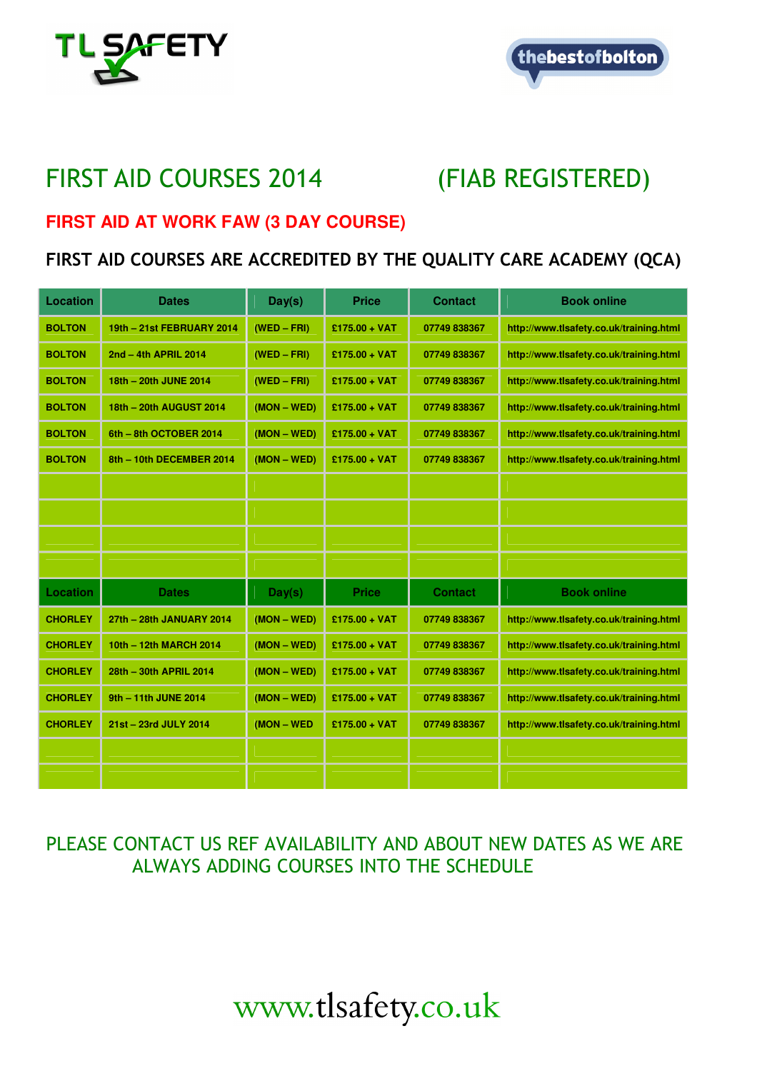



## FIRST AID COURSES 2014 (FIAB REGISTERED)

#### **FIRST AID AT WORK FAW (3 DAY COURSE)**

### FIRST AID COURSES ARE ACCREDITED BY THE QUALITY CARE ACADEMY (QCA)

| Location       | <b>Dates</b>              | Day(s)        | <b>Price</b>    | <b>Contact</b> | <b>Book online</b>                      |
|----------------|---------------------------|---------------|-----------------|----------------|-----------------------------------------|
| <b>BOLTON</b>  | 19th - 21st FEBRUARY 2014 | $(WED - FRI)$ | $£175.00 + VAT$ | 07749 838367   | http://www.tlsafety.co.uk/training.html |
| <b>BOLTON</b>  | 2nd - 4th APRIL 2014      | $(WED - FRI)$ | $£175.00 + VAT$ | 07749 838367   | http://www.tlsafety.co.uk/training.html |
| <b>BOLTON</b>  | 18th - 20th JUNE 2014     | $(WED - FRI)$ | $£175.00 + VAT$ | 07749 838367   | http://www.tlsafety.co.uk/training.html |
| <b>BOLTON</b>  | 18th - 20th AUGUST 2014   | $(MON - WED)$ | $£175.00 + VAT$ | 07749 838367   | http://www.tlsafety.co.uk/training.html |
| <b>BOLTON</b>  | 6th - 8th OCTOBER 2014    | $(MON - WED)$ | $£175.00 + VAT$ | 07749 838367   | http://www.tlsafety.co.uk/training.html |
| <b>BOLTON</b>  | 8th - 10th DECEMBER 2014  | $(MON - WED)$ | $£175.00 + VAT$ | 07749 838367   | http://www.tlsafety.co.uk/training.html |
|                |                           |               |                 |                |                                         |
|                |                           |               |                 |                |                                         |
|                |                           |               |                 |                |                                         |
|                |                           |               |                 |                |                                         |
| Location       | <b>Dates</b>              | Day(s)        | <b>Price</b>    | <b>Contact</b> | <b>Book online</b>                      |
| <b>CHORLEY</b> | 27th - 28th JANUARY 2014  | $(MON - WED)$ | £175.00 + VAT   | 07749 838367   | http://www.tlsafety.co.uk/training.html |
| <b>CHORLEY</b> | 10th - 12th MARCH 2014    | $(MON - WED)$ | $£175.00 + VAT$ | 07749 838367   | http://www.tlsafety.co.uk/training.html |
| <b>CHORLEY</b> | 28th - 30th APRIL 2014    | $(MON - WED)$ | $£175.00 + VAT$ | 07749 838367   | http://www.tlsafety.co.uk/training.html |
| <b>CHORLEY</b> | 9th - 11th JUNE 2014      | $(MON - WED)$ | $£175.00 + VAT$ | 07749 838367   | http://www.tlsafety.co.uk/training.html |
| <b>CHORLEY</b> | 21st - 23rd JULY 2014     | (MON - WED    | $£175.00 + VAT$ | 07749 838367   | http://www.tlsafety.co.uk/training.html |
|                |                           |               |                 |                |                                         |
|                |                           |               |                 |                |                                         |

## PLEASE CONTACT US REF AVAILABILITY AND ABOUT NEW DATES AS WE ARE ALWAYS ADDING COURSES INTO THE SCHEDULE